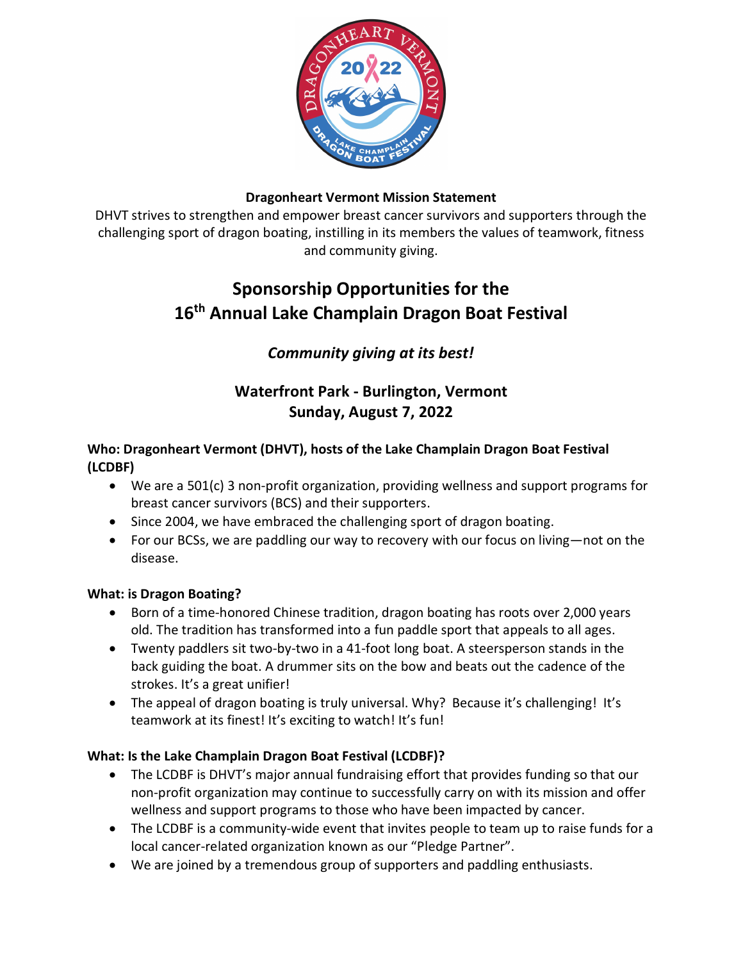

#### **Dragonheart Vermont Mission Statement**

DHVT strives to strengthen and empower breast cancer survivors and supporters through the challenging sport of dragon boating, instilling in its members the values of teamwork, fitness and community giving.

# **Sponsorship Opportunities for the 16 th Annual Lake Champlain Dragon Boat Festival**

## *Community giving at its best!*

## **Waterfront Park - Burlington, Vermont Sunday, August 7, 2022**

### **Who: Dragonheart Vermont (DHVT), hosts of the Lake Champlain Dragon Boat Festival (LCDBF)**

- We are a 501(c) 3 non-profit organization, providing wellness and support programs for breast cancer survivors (BCS) and their supporters.
- Since 2004, we have embraced the challenging sport of dragon boating.
- For our BCSs, we are paddling our way to recovery with our focus on living—not on the disease.

### **What: is Dragon Boating?**

- Born of a time-honored Chinese tradition, dragon boating has roots over 2,000 years old. The tradition has transformed into a fun paddle sport that appeals to all ages.
- Twenty paddlers sit two-by-two in a 41-foot long boat. A steersperson stands in the back guiding the boat. A drummer sits on the bow and beats out the cadence of the strokes. It's a great unifier!
- The appeal of dragon boating is truly universal. Why? Because it's challenging! It's teamwork at its finest! It's exciting to watch! It's fun!

### **What: Is the Lake Champlain Dragon Boat Festival (LCDBF)?**

- The LCDBF is DHVT's major annual fundraising effort that provides funding so that our non-profit organization may continue to successfully carry on with its mission and offer wellness and support programs to those who have been impacted by cancer.
- The LCDBF is a community-wide event that invites people to team up to raise funds for a local cancer-related organization known as our "Pledge Partner".
- We are joined by a tremendous group of supporters and paddling enthusiasts.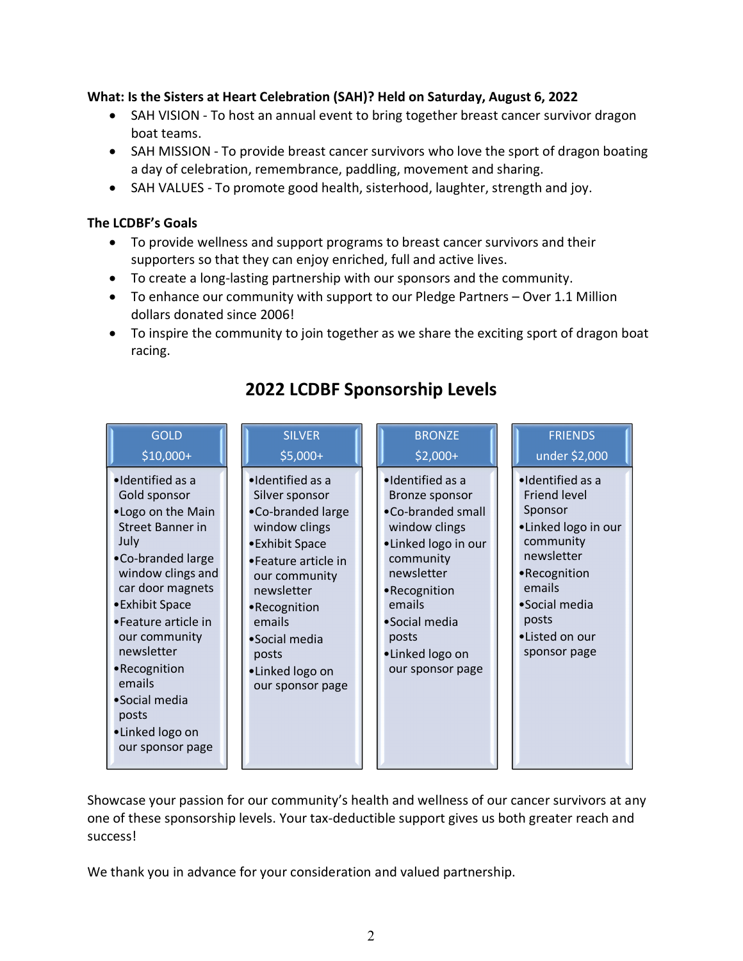#### **What: Is the Sisters at Heart Celebration (SAH)? Held on Saturday, August 6, 2022**

- SAH VISION To host an annual event to bring together breast cancer survivor dragon boat teams.
- SAH MISSION To provide breast cancer survivors who love the sport of dragon boating a day of celebration, remembrance, paddling, movement and sharing.
- SAH VALUES To promote good health, sisterhood, laughter, strength and joy.

#### **The LCDBF's Goals**

- To provide wellness and support programs to breast cancer survivors and their supporters so that they can enjoy enriched, full and active lives.
- To create a long-lasting partnership with our sponsors and the community.
- To enhance our community with support to our Pledge Partners Over 1.1 Million dollars donated since 2006!
- To inspire the community to join together as we share the exciting sport of dragon boat racing.

| <b>GOLD</b>                                                                                                                                                                                                                                                                                                        | <b>SILVER</b>                                                                                                                                                                                                                                | <b>BRONZE</b>                                                                                                                                                                                                         | <b>FRIENDS</b>                                                                                                                                                                             |
|--------------------------------------------------------------------------------------------------------------------------------------------------------------------------------------------------------------------------------------------------------------------------------------------------------------------|----------------------------------------------------------------------------------------------------------------------------------------------------------------------------------------------------------------------------------------------|-----------------------------------------------------------------------------------------------------------------------------------------------------------------------------------------------------------------------|--------------------------------------------------------------------------------------------------------------------------------------------------------------------------------------------|
| $$10,000+$                                                                                                                                                                                                                                                                                                         | \$5,000+                                                                                                                                                                                                                                     | $$2,000+$                                                                                                                                                                                                             | under \$2,000                                                                                                                                                                              |
| ·Identified as a<br>Gold sponsor<br>.Logo on the Main<br>Street Banner in<br>July<br>•Co-branded large<br>window clings and<br>car door magnets<br>•Exhibit Space<br>•Feature article in<br>our community<br>newsletter<br>•Recognition<br>emails<br>·Social media<br>posts<br>·Linked logo on<br>our sponsor page | ·Identified as a<br>Silver sponsor<br>•Co-branded large<br>window clings<br>•Exhibit Space<br>• Feature article in<br>our community<br>newsletter<br>•Recognition<br>emails<br>•Social media<br>posts<br>•Linked logo on<br>our sponsor page | ·Identified as a<br>Bronze sponsor<br>•Co-branded small<br>window clings<br>·Linked logo in our<br>community<br>newsletter<br>•Recognition<br>emails<br>•Social media<br>posts<br>•Linked logo on<br>our sponsor page | ·Identified as a<br><b>Friend level</b><br>Sponsor<br>·Linked logo in our<br>community<br>newsletter<br>•Recognition<br>emails<br>•Social media<br>posts<br>•Listed on our<br>sponsor page |

## **2022 LCDBF Sponsorship Levels**

Showcase your passion for our community's health and wellness of our cancer survivors at any one of these sponsorship levels. Your tax-deductible support gives us both greater reach and success!

We thank you in advance for your consideration and valued partnership.